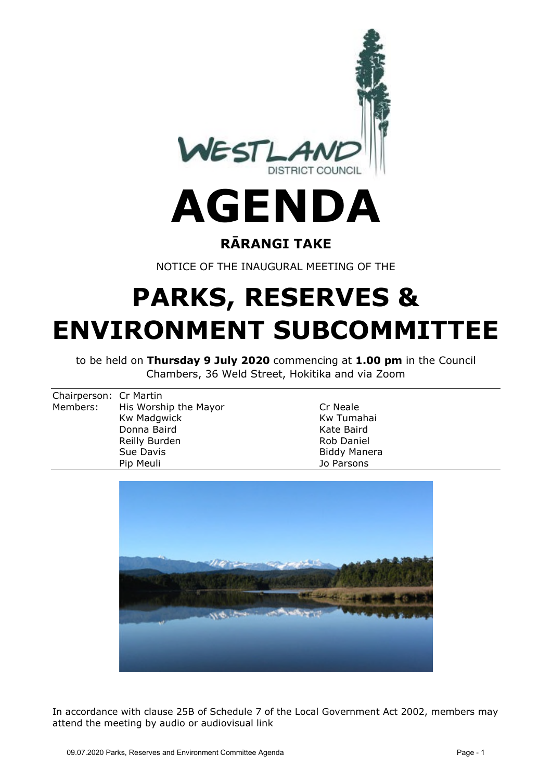

# **AGENDA**

#### **RĀRANGI TAKE**

NOTICE OF THE INAUGURAL MEETING OF THE

# **PARKS, RESERVES & ENVIRONMENT SUBCOMMITTEE**

to be held on **Thursday 9 July 2020** commencing at **1.00 pm** in the Council Chambers, 36 Weld Street, Hokitika and via Zoom

| Chairperson: Cr Martin |                                |                     |
|------------------------|--------------------------------|---------------------|
|                        | Members: His Worship the Mayor | Cr Neale            |
|                        | Kw Madgwick                    | Kw Tumahai          |
|                        | Donna Baird                    | Kate Baird          |
|                        | Reilly Burden                  | <b>Rob Daniel</b>   |
|                        | Sue Davis                      | <b>Biddy Manera</b> |
|                        | Pip Meuli                      | Jo Parsons          |
|                        |                                |                     |



In accordance with clause 25B of Schedule 7 of the Local Government Act 2002, members may attend the meeting by audio or audiovisual link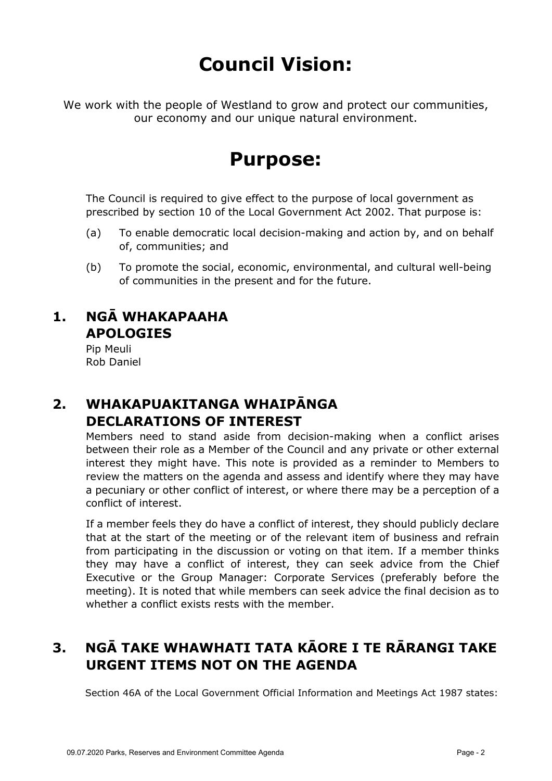## **Council Vision:**

We work with the people of Westland to grow and protect our communities, our economy and our unique natural environment.

### **Purpose:**

The Council is required to give effect to the purpose of local government as prescribed by section 10 of the Local Government Act 2002. That purpose is:

- (a) To enable democratic local decision-making and action by, and on behalf of, communities; and
- (b) To promote the social, economic, environmental, and cultural well-being of communities in the present and for the future.

#### **1. NGĀ WHAKAPAAHA APOLOGIES**

Pip Meuli Rob Daniel

#### **2. WHAKAPUAKITANGA WHAIPĀNGA DECLARATIONS OF INTEREST**

Members need to stand aside from decision-making when a conflict arises between their role as a Member of the Council and any private or other external interest they might have. This note is provided as a reminder to Members to review the matters on the agenda and assess and identify where they may have a pecuniary or other conflict of interest, or where there may be a perception of a conflict of interest.

If a member feels they do have a conflict of interest, they should publicly declare that at the start of the meeting or of the relevant item of business and refrain from participating in the discussion or voting on that item. If a member thinks they may have a conflict of interest, they can seek advice from the Chief Executive or the Group Manager: Corporate Services (preferably before the meeting). It is noted that while members can seek advice the final decision as to whether a conflict exists rests with the member.

#### **3. NGĀ TAKE WHAWHATI TATA KĀORE I TE RĀRANGI TAKE URGENT ITEMS NOT ON THE AGENDA**

Section 46A of the Local Government Official Information and Meetings Act 1987 states: